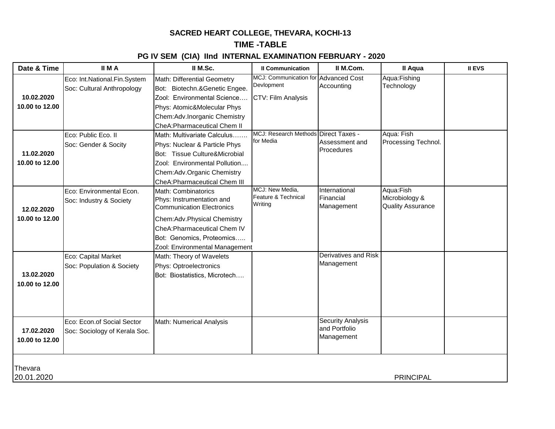# **SACRED HEART COLLEGE, THEVARA, KOCHI-13**

# **TIME -TABLE**

# **PG IV SEM (CIA) IInd INTERNAL EXAMINATION FEBRUARY - 2020**

| Date & Time    | <b>IIMA</b>                                                | II M.Sc.                                                     | <b>Il Communication</b>                            | II M.Com.                   | Il Aqua                    | <b>II EVS</b> |  |  |
|----------------|------------------------------------------------------------|--------------------------------------------------------------|----------------------------------------------------|-----------------------------|----------------------------|---------------|--|--|
|                | Eco: Int.National.Fin.System<br>Soc: Cultural Anthropology | Math: Differential Geometry<br>Bot: Biotechn.&Genetic Engee. | MCJ: Communication for Advanced Cost<br>Devlopment | Accounting                  | Aqua:Fishing<br>Technology |               |  |  |
| 10.02.2020     |                                                            | Zool: Environmental Science                                  | CTV: Film Analysis                                 |                             |                            |               |  |  |
| 10.00 to 12.00 |                                                            | Phys: Atomic&Molecular Phys                                  |                                                    |                             |                            |               |  |  |
|                |                                                            | Chem:Adv.Inorganic Chemistry                                 |                                                    |                             |                            |               |  |  |
|                |                                                            | CheA: Pharmaceutical Chem II                                 |                                                    |                             |                            |               |  |  |
|                | Eco: Public Eco. II                                        | Math: Multivariate Calculus                                  | MCJ: Research Methods Direct Taxes -               |                             | Aqua: Fish                 |               |  |  |
|                | Soc: Gender & Socity                                       | Phys: Nuclear & Particle Phys                                | for Media                                          | Assessment and              | Processing Technol.        |               |  |  |
| 11.02.2020     |                                                            | Bot: Tissue Culture&Microbial                                |                                                    | Procedures                  |                            |               |  |  |
| 10.00 to 12.00 |                                                            | Zool: Environmental Pollution                                |                                                    |                             |                            |               |  |  |
|                |                                                            | Chem:Adv.Organic Chemistry                                   |                                                    |                             |                            |               |  |  |
|                |                                                            | CheA: Pharmaceutical Chem III                                |                                                    |                             |                            |               |  |  |
|                | Eco: Environmental Econ.                                   | Math: Combinatorics                                          | MCJ: New Media,                                    | International               | Aqua:Fish                  |               |  |  |
|                | Soc: Industry & Society                                    | Phys: Instrumentation and                                    | Feature & Technical<br>Writing                     | Financial                   | Microbiology &             |               |  |  |
| 12.02.2020     |                                                            | <b>Communication Electronics</b>                             |                                                    | Management                  | <b>Quality Assurance</b>   |               |  |  |
| 10.00 to 12.00 |                                                            | Chem:Adv.Physical Chemistry                                  |                                                    |                             |                            |               |  |  |
|                |                                                            | CheA: Pharmaceutical Chem IV                                 |                                                    |                             |                            |               |  |  |
|                |                                                            | Bot: Genomics, Proteomics                                    |                                                    |                             |                            |               |  |  |
|                |                                                            | Zool: Environmental Management                               |                                                    |                             |                            |               |  |  |
|                | Eco: Capital Market                                        | Math: Theory of Wavelets                                     |                                                    | Derivatives and Risk        |                            |               |  |  |
|                | Soc: Population & Society                                  | Phys: Optroelectronics                                       |                                                    | Management                  |                            |               |  |  |
| 13.02.2020     |                                                            | Bot: Biostatistics, Microtech                                |                                                    |                             |                            |               |  |  |
| 10.00 to 12.00 |                                                            |                                                              |                                                    |                             |                            |               |  |  |
|                |                                                            |                                                              |                                                    |                             |                            |               |  |  |
|                |                                                            |                                                              |                                                    |                             |                            |               |  |  |
|                |                                                            |                                                              |                                                    |                             |                            |               |  |  |
|                | Eco: Econ.of Social Sector                                 | Math: Numerical Analysis                                     |                                                    | <b>Security Analysis</b>    |                            |               |  |  |
| 17.02.2020     | Soc: Sociology of Kerala Soc.                              |                                                              |                                                    | and Portfolio<br>Management |                            |               |  |  |
| 10.00 to 12.00 |                                                            |                                                              |                                                    |                             |                            |               |  |  |
|                |                                                            |                                                              |                                                    |                             |                            |               |  |  |
|                |                                                            |                                                              |                                                    |                             |                            |               |  |  |
| Thevara        |                                                            |                                                              |                                                    |                             |                            |               |  |  |
| 20.01.2020     | <b>PRINCIPAL</b>                                           |                                                              |                                                    |                             |                            |               |  |  |